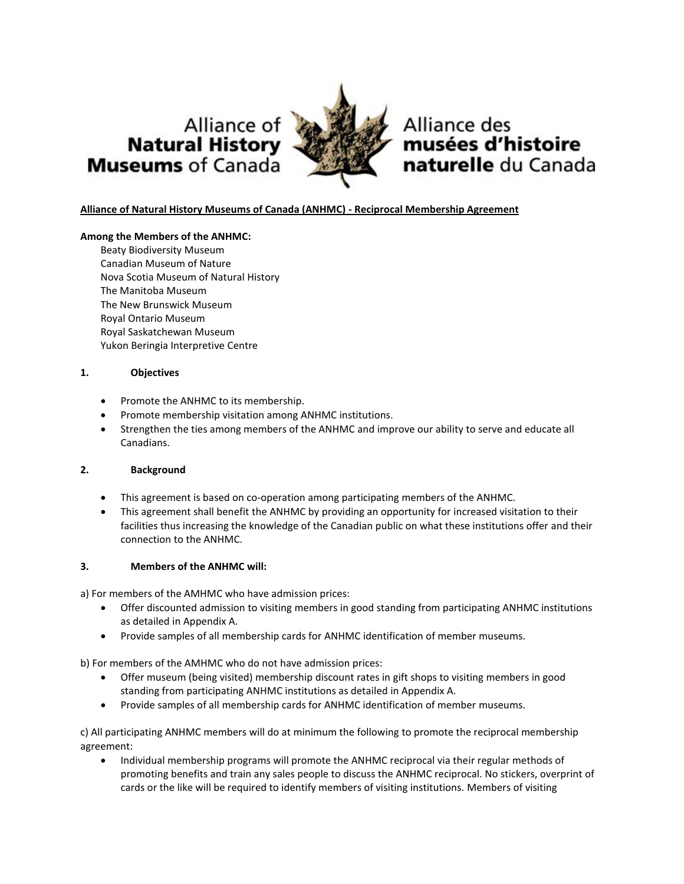



Alliance des musées d'histoire naturelle du Canada

# **Alliance of Natural History Museums of Canada (ANHMC) - Reciprocal Membership Agreement**

### **Among the Members of the ANHMC:**

Beaty Biodiversity Museum Canadian Museum of Nature Nova Scotia Museum of Natural History The Manitoba Museum The New Brunswick Museum Royal Ontario Museum Royal Saskatchewan Museum Yukon Beringia Interpretive Centre

### **1. Objectives**

- Promote the ANHMC to its membership.
- Promote membership visitation among ANHMC institutions.
- Strengthen the ties among members of the ANHMC and improve our ability to serve and educate all Canadians.

#### **2. Background**

- This agreement is based on co-operation among participating members of the ANHMC.
- This agreement shall benefit the ANHMC by providing an opportunity for increased visitation to their facilities thus increasing the knowledge of the Canadian public on what these institutions offer and their connection to the ANHMC.

## **3. Members of the ANHMC will:**

a) For members of the AMHMC who have admission prices:

- Offer discounted admission to visiting members in good standing from participating ANHMC institutions as detailed in Appendix A.
- Provide samples of all membership cards for ANHMC identification of member museums.

b) For members of the AMHMC who do not have admission prices:

- Offer museum (being visited) membership discount rates in gift shops to visiting members in good standing from participating ANHMC institutions as detailed in Appendix A.
- Provide samples of all membership cards for ANHMC identification of member museums.

c) All participating ANHMC members will do at minimum the following to promote the reciprocal membership agreement:

• Individual membership programs will promote the ANHMC reciprocal via their regular methods of promoting benefits and train any sales people to discuss the ANHMC reciprocal. No stickers, overprint of cards or the like will be required to identify members of visiting institutions. Members of visiting